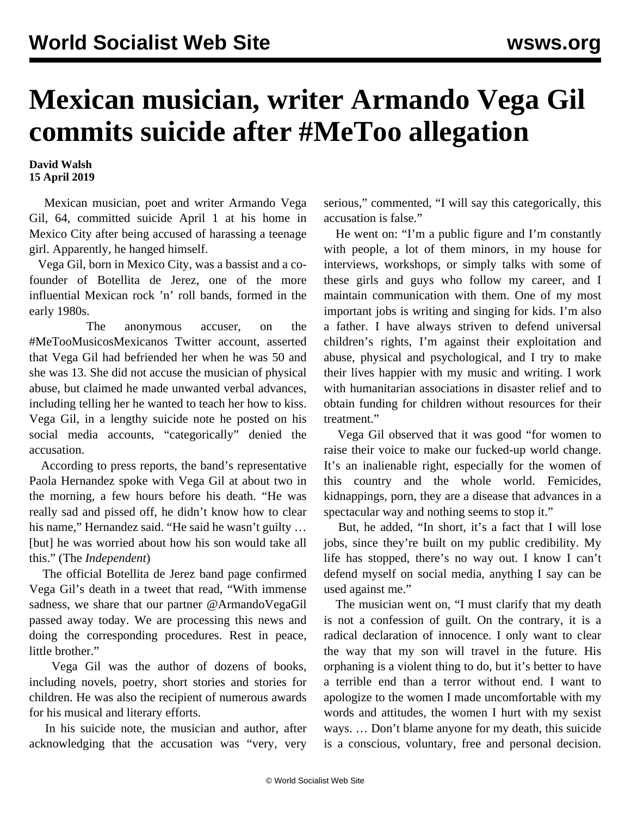## **Mexican musician, writer Armando Vega Gil commits suicide after #MeToo allegation**

## **David Walsh 15 April 2019**

 Mexican musician, poet and writer Armando Vega Gil, 64, committed suicide April 1 at his home in Mexico City after being accused of harassing a teenage girl. Apparently, he hanged himself.

 Vega Gil, born in Mexico City, was a bassist and a cofounder of Botellita de Jerez, one of the more influential Mexican rock 'n' roll bands, formed in the early 1980s.

 The anonymous accuser, on the #MeTooMusicosMexicanos Twitter account, asserted that Vega Gil had befriended her when he was 50 and she was 13. She did not accuse the musician of physical abuse, but claimed he made unwanted verbal advances, including telling her he wanted to teach her how to kiss. Vega Gil, in a lengthy suicide note he posted on his social media accounts, "categorically" denied the accusation.

 According to press reports, the band's representative Paola Hernandez spoke with Vega Gil at about two in the morning, a few hours before his death. "He was really sad and pissed off, he didn't know how to clear his name," Hernandez said. "He said he wasn't guilty ... [but] he was worried about how his son would take all this." (The *Independent*)

 The official Botellita de Jerez band page confirmed Vega Gil's death in a tweet that read, "With immense sadness, we share that our partner @ArmandoVegaGil passed away today. We are processing this news and doing the corresponding procedures. Rest in peace, little brother."

 Vega Gil was the author of dozens of books, including novels, poetry, short stories and stories for children. He was also the recipient of numerous awards for his musical and literary efforts.

 In his suicide note, the musician and author, after acknowledging that the accusation was "very, very serious," commented, "I will say this categorically, this accusation is false."

 He went on: "I'm a public figure and I'm constantly with people, a lot of them minors, in my house for interviews, workshops, or simply talks with some of these girls and guys who follow my career, and I maintain communication with them. One of my most important jobs is writing and singing for kids. I'm also a father. I have always striven to defend universal children's rights, I'm against their exploitation and abuse, physical and psychological, and I try to make their lives happier with my music and writing. I work with humanitarian associations in disaster relief and to obtain funding for children without resources for their treatment."

 Vega Gil observed that it was good "for women to raise their voice to make our fucked-up world change. It's an inalienable right, especially for the women of this country and the whole world. Femicides, kidnappings, porn, they are a disease that advances in a spectacular way and nothing seems to stop it."

 But, he added, "In short, it's a fact that I will lose jobs, since they're built on my public credibility. My life has stopped, there's no way out. I know I can't defend myself on social media, anything I say can be used against me."

 The musician went on, "I must clarify that my death is not a confession of guilt. On the contrary, it is a radical declaration of innocence. I only want to clear the way that my son will travel in the future. His orphaning is a violent thing to do, but it's better to have a terrible end than a terror without end. I want to apologize to the women I made uncomfortable with my words and attitudes, the women I hurt with my sexist ways. … Don't blame anyone for my death, this suicide is a conscious, voluntary, free and personal decision.